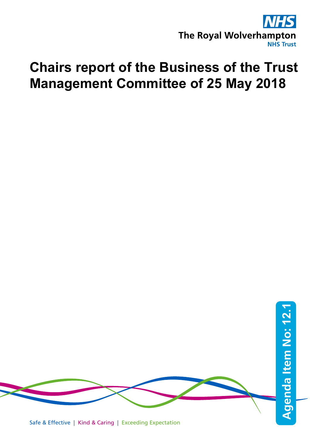

# **Chairs report of the Business of the Trust Management Committee of 25 May 2018**

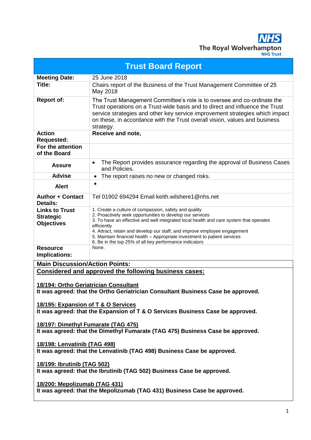**NHS** The Royal Wolverhampton

| <b>Trust Board Report</b>                                                                                 |                                                                                                                                                                                                                                                                                                                                                                                                                                                 |  |
|-----------------------------------------------------------------------------------------------------------|-------------------------------------------------------------------------------------------------------------------------------------------------------------------------------------------------------------------------------------------------------------------------------------------------------------------------------------------------------------------------------------------------------------------------------------------------|--|
| <b>Meeting Date:</b>                                                                                      | 25 June 2018                                                                                                                                                                                                                                                                                                                                                                                                                                    |  |
| Title:                                                                                                    | Chairs report of the Business of the Trust Management Committee of 25<br>May 2018                                                                                                                                                                                                                                                                                                                                                               |  |
| <b>Report of:</b>                                                                                         | The Trust Management Committee's role is to oversee and co-ordinate the<br>Trust operations on a Trust-wide basis and to direct and influence the Trust<br>service strategies and other key service improvement strategies which impact<br>on these, in accordance with the Trust overall vision, values and business<br>strategy.                                                                                                              |  |
| <b>Action</b><br><b>Requested:</b>                                                                        | Receive and note,                                                                                                                                                                                                                                                                                                                                                                                                                               |  |
| For the attention<br>of the Board                                                                         |                                                                                                                                                                                                                                                                                                                                                                                                                                                 |  |
| <b>Assure</b>                                                                                             | The Report provides assurance regarding the approval of Business Cases<br>$\bullet$<br>and Policies.                                                                                                                                                                                                                                                                                                                                            |  |
| <b>Advise</b>                                                                                             | The report raises no new or changed risks.<br>$\bullet$                                                                                                                                                                                                                                                                                                                                                                                         |  |
| <b>Alert</b>                                                                                              | $\bullet$                                                                                                                                                                                                                                                                                                                                                                                                                                       |  |
| <b>Author + Contact</b><br>Details:                                                                       | Tel 01902 694294 Email keith wilshere1@nhs.net                                                                                                                                                                                                                                                                                                                                                                                                  |  |
| <b>Links to Trust</b><br><b>Strategic</b><br><b>Objectives</b>                                            | 1. Create a culture of compassion, safety and quality<br>2. Proactively seek opportunities to develop our services<br>3. To have an effective and well integrated local health and care system that operates<br>efficiently<br>4. Attract, retain and develop our staff, and improve employee engagement<br>5. Maintain financial health - Appropriate investment to patient services<br>6. Be in the top 25% of all key performance indicators |  |
| <b>Resource</b><br>Implications:                                                                          | None.                                                                                                                                                                                                                                                                                                                                                                                                                                           |  |
| <b>Main Discussion/Action Points:</b>                                                                     |                                                                                                                                                                                                                                                                                                                                                                                                                                                 |  |
| <b>Considered and approved the following business cases:</b>                                              |                                                                                                                                                                                                                                                                                                                                                                                                                                                 |  |
|                                                                                                           |                                                                                                                                                                                                                                                                                                                                                                                                                                                 |  |
| 18/194: Ortho Geriatrician Consultant                                                                     |                                                                                                                                                                                                                                                                                                                                                                                                                                                 |  |
|                                                                                                           | It was agreed: that the Ortho Geriatrician Consultant Business Case be approved.                                                                                                                                                                                                                                                                                                                                                                |  |
|                                                                                                           |                                                                                                                                                                                                                                                                                                                                                                                                                                                 |  |
| 18/195: Expansion of T & O Services                                                                       |                                                                                                                                                                                                                                                                                                                                                                                                                                                 |  |
| It was agreed: that the Expansion of T & O Services Business Case be approved.                            |                                                                                                                                                                                                                                                                                                                                                                                                                                                 |  |
| 18/197: Dimethyl Fumarate (TAG 475)                                                                       |                                                                                                                                                                                                                                                                                                                                                                                                                                                 |  |
| It was agreed: that the Dimethyl Fumarate (TAG 475) Business Case be approved.                            |                                                                                                                                                                                                                                                                                                                                                                                                                                                 |  |
| 18/198: Lenvatinib (TAG 498)<br>It was agreed: that the Lenvatinib (TAG 498) Business Case be approved.   |                                                                                                                                                                                                                                                                                                                                                                                                                                                 |  |
|                                                                                                           |                                                                                                                                                                                                                                                                                                                                                                                                                                                 |  |
| 18/199: Ibrutinib (TAG 502)<br>It was agreed: that the Ibrutinib (TAG 502) Business Case be approved.     |                                                                                                                                                                                                                                                                                                                                                                                                                                                 |  |
| 18/200: Mepolizumab (TAG 431)<br>It was agreed: that the Mepolizumab (TAG 431) Business Case be approved. |                                                                                                                                                                                                                                                                                                                                                                                                                                                 |  |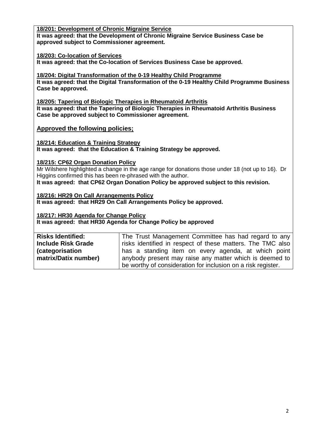# **18/201: Development of Chronic Migraine Service**

**It was agreed: that the Development of Chronic Migraine Service Business Case be approved subject to Commissioner agreement.**

# **18/203: Co-location of Services**

**It was agreed: that the Co-location of Services Business Case be approved.**

**18/204: Digital Transformation of the 0-19 Healthy Child Programme It was agreed: that the Digital Transformation of the 0-19 Healthy Child Programme Business Case be approved.**

**18/205: Tapering of Biologic Therapies in Rheumatoid Arthritis It was agreed: that the Tapering of Biologic Therapies in Rheumatoid Arthritis Business Case be approved subject to Commissioner agreement.**

**Approved the following policies;**

**18/214: Education & Training Strategy It was agreed: that the Education & Training Strategy be approved.**

# **18/215: CP62 Organ Donation Policy**

Mr Wilshere highlighted a change in the age range for donations those under 18 (not up to 16). Dr Higgins confirmed this has been re-phrased with the author.

**It was agreed: that CP62 Organ Donation Policy be approved subject to this revision.**

**18/216: HR29 On Call Arrangements Policy It was agreed: that HR29 On Call Arrangements Policy be approved.**

**18/217: HR30 Agenda for Change Policy**

**It was agreed: that HR30 Agenda for Change Policy be approved**

| <b>Risks Identified:</b>  | The Trust Management Committee has had regard to any         |
|---------------------------|--------------------------------------------------------------|
| <b>Include Risk Grade</b> | risks identified in respect of these matters. The TMC also   |
| <i>(categorisation)</i>   | has a standing item on every agenda, at which point          |
| matrix/Datix number)      | anybody present may raise any matter which is deemed to      |
|                           | be worthy of consideration for inclusion on a risk register. |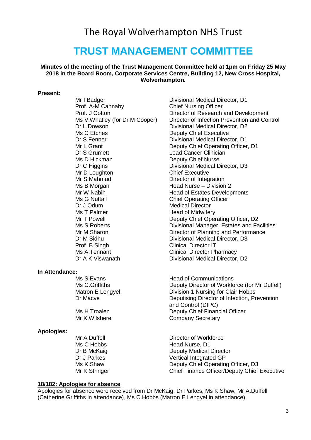# The Royal Wolverhampton NHS Trust

# **TRUST MANAGEMENT COMMITTEE**

**Minutes of the meeting of the Trust Management Committee held at 1pm on Friday 25 May 2018 in the Board Room, Corporate Services Centre, Building 12, New Cross Hospital, Wolverhampton.** 

#### **Present:**

Prof. A-M Cannaby Chief Nursing Officer Ms C Etches **Deputy Chief Executive** Dr S Grumett Lead Cancer Clinician Ms D.Hickman Deputy Chief Nurse Mr D Loughton Chief Executive Mr S Mahmud Director of Integration Ms B Morgan **Manufath Head Nurse** – Division 2 Dr J Odum Medical Director Ms T Palmer **Head of Midwifery** Prof. B Singh Clinical Director IT Ms A.Tennant Clinical Director Pharmacy Dr A K Viswanath Divisional Medical Director, D2

#### **In Attendance:**

#### **Apologies:**

Mr I Badger **Divisional Medical Director**, D1 Prof. J Cotton Director of Research and Development Ms V. Whatley (for Dr M Cooper) Director of Infection Prevention and Control Dr L Dowson Divisional Medical Director, D2 Dr S Fenner **Divisional Medical Director, D1**<br>Mr L Grant **Divisional Deputy Chief Operating Officer** Deputy Chief Operating Officer, D1 Dr C Higgins **Divisional Medical Director**, D3 Mr W Nabih **Head of Estates Developments**<br>Ms G Nuttall **Head of Estates Developments Chief Operating Officer** Mr T Powell **Deputy Chief Operating Officer, D2** Ms S Roberts **Divisional Manager, Estates and Facilities** Mr M Sharon **Director of Planning and Performance** Dr M Sidhu Divisional Medical Director, D3

Ms S.Evans **Head of Communications** Ms C.Griffiths Deputy Director of Workforce (for Mr Duffell) Matron E Lengyel Division 1 Nursing for Clair Hobbs Dr Macve **Deputising Director of Infection, Prevention** and Control (DIPC) Ms H.Troalen **Deputy Chief Financial Officer** Mr K.Wilshere **Company Secretary** 

Mr A Duffell **Director of Workforce** Ms C Hobbs Head Nurse, D1 Dr B McKaig **Deputy Medical Director** Dr J Parkes Vertical Integrated GP Ms K.Shaw Deputy Chief Operating Officer, D3 Mr K Stringer Chief Finance Officer/Deputy Chief Executive

#### **18/182: Apologies for absence**

Apologies for absence were received from Dr McKaig, Dr Parkes, Ms K.Shaw, Mr A.Duffell (Catherine Griffiths in attendance), Ms C.Hobbs (Matron E.Lengyel in attendance).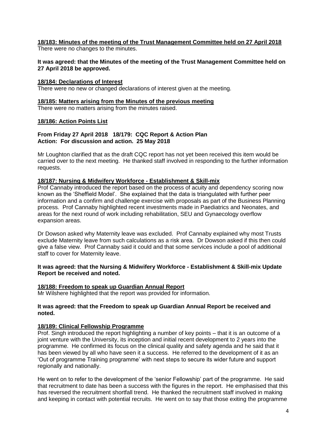# **18/183: Minutes of the meeting of the Trust Management Committee held on 27 April 2018**

There were no changes to the minutes.

#### **It was agreed: that the Minutes of the meeting of the Trust Management Committee held on 27 April 2018 be approved.**

# **18/184: Declarations of Interest**

There were no new or changed declarations of interest given at the meeting.

#### **18/185: Matters arising from the Minutes of the previous meeting**

There were no matters arising from the minutes raised.

# **18/186: Action Points List**

#### **From Friday 27 April 2018 18/179: CQC Report & Action Plan Action: For discussion and action. 25 May 2018**

Mr Loughton clarified that as the draft CQC report has not yet been received this item would be carried over to the next meeting. He thanked staff involved in responding to the further information requests.

#### **18/187: Nursing & Midwifery Workforce - Establishment & Skill-mix**

Prof Cannaby introduced the report based on the process of acuity and dependency scoring now known as the 'Sheffield Model'. She explained that the data is triangulated with further peer information and a confirm and challenge exercise with proposals as part of the Business Planning process. Prof Cannaby highlighted recent investments made in Paediatrics and Neonates, and areas for the next round of work including rehabilitation, SEU and Gynaecology overflow expansion areas.

Dr Dowson asked why Maternity leave was excluded. Prof Cannaby explained why most Trusts exclude Maternity leave from such calculations as a risk area. Dr Dowson asked if this then could give a false view. Prof Cannaby said it could and that some services include a pool of additional staff to cover for Maternity leave.

#### **It was agreed: that the Nursing & Midwifery Workforce - Establishment & Skill-mix Update Report be received and noted.**

#### **18/188: Freedom to speak up Guardian Annual Report**

Mr Wilshere highlighted that the report was provided for information.

#### **It was agreed: that the Freedom to speak up Guardian Annual Report be received and noted.**

# **18/189: Clinical Fellowship Programme**

Prof. Singh introduced the report highlighting a number of key points – that it is an outcome of a joint venture with the University, its inception and initial recent development to 2 years into the programme. He confirmed its focus on the clinical quality and safety agenda and he said that it has been viewed by all who have seen it a success. He referred to the development of it as an 'Out of programme Training programme' with next steps to secure its wider future and support regionally and nationally.

He went on to refer to the development of the 'senior Fellowship' part of the programme. He said that recruitment to date has been a success with the figures in the report. He emphasised that this has reversed the recruitment shortfall trend. He thanked the recruitment staff involved in making and keeping in contact with potential recruits. He went on to say that those exiting the programme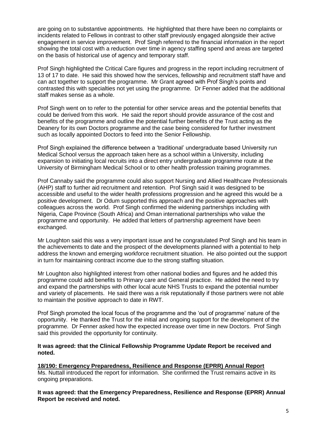are going on to substantive appointments. He highlighted that there have been no complaints or incidents related to Fellows in contrast to other staff previously engaged alongside their active engagement in service improvement. Prof Singh referred to the financial information in the report showing the total cost with a reduction over time in agency staffing spend and areas are targeted on the basis of historical use of agency and temporary staff.

Prof Singh highlighted the Critical Care figures and progress in the report including recruitment of 13 of 17 to date. He said this showed how the services, fellowship and recruitment staff have and can act together to support the programme. Mr Grant agreed with Prof Singh's points and contrasted this with specialties not yet using the programme. Dr Fenner added that the additional staff makes sense as a whole.

Prof Singh went on to refer to the potential for other service areas and the potential benefits that could be derived from this work. He said the report should provide assurance of the cost and benefits of the programme and outline the potential further benefits of the Trust acting as the Deanery for its own Doctors programme and the case being considered for further investment such as locally appointed Doctors to feed into the Senior Fellowship.

Prof Singh explained the difference between a 'traditional' undergraduate based University run Medical School versus the approach taken here as a school within a University, including expansion to initiating local recruits into a direct entry undergraduate programme route at the University of Birmingham Medical School or to other health profession training programmes.

Prof Cannaby said the programme could also support Nursing and Allied Healthcare Professionals (AHP) staff to further aid recruitment and retention. Prof Singh said it was designed to be accessible and useful to the wider health professions progression and he agreed this would be a positive development. Dr Odum supported this approach and the positive approaches with colleagues across the world. Prof Singh confirmed the widening partnerships including with Nigeria, Cape Province (South Africa) and Oman international partnerships who value the programme and opportunity. He added that letters of partnership agreement have been exchanged.

Mr Loughton said this was a very important issue and he congratulated Prof Singh and his team in the achievements to date and the prospect of the developments planned with a potential to help address the known and emerging workforce recruitment situation. He also pointed out the support in turn for maintaining contract income due to the strong staffing situation.

Mr Loughton also highlighted interest from other national bodies and figures and he added this programme could add benefits to Primary care and General practice. He added the need to try and expand the partnerships with other local acute NHS Trusts to expand the potential number and variety of placements. He said there was a risk reputationally if those partners were not able to maintain the positive approach to date in RWT.

Prof Singh promoted the local focus of the programme and the 'out of programme' nature of the opportunity. He thanked the Trust for the initial and ongoing support for the development of the programme. Dr Fenner asked how the expected increase over time in new Doctors. Prof Singh said this provided the opportunity for continuity.

#### **It was agreed: that the Clinical Fellowship Programme Update Report be received and noted.**

**18/190: Emergency Preparedness, Resilience and Response (EPRR) Annual Report** Ms. Nuttall introduced the report for information. She confirmed the Trust remains active in its ongoing preparations.

**It was agreed: that the Emergency Preparedness, Resilience and Response (EPRR) Annual Report be received and noted.**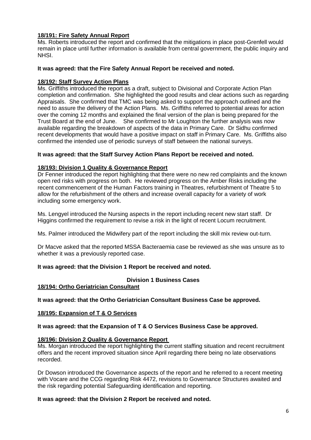# **18/191: Fire Safety Annual Report**

Ms. Roberts introduced the report and confirmed that the mitigations in place post-Grenfell would remain in place until further information is available from central government, the public inquiry and NHSI.

#### **It was agreed: that the Fire Safety Annual Report be received and noted.**

#### **18/192: Staff Survey Action Plans**

Ms. Griffiths introduced the report as a draft, subject to Divisional and Corporate Action Plan completion and confirmation. She highlighted the good results and clear actions such as regarding Appraisals. She confirmed that TMC was being asked to support the approach outlined and the need to assure the delivery of the Action Plans. Ms. Griffiths referred to potential areas for action over the coming 12 months and explained the final version of the plan is being prepared for the Trust Board at the end of June. She confirmed to Mr Loughton the further analysis was now available regarding the breakdown of aspects of the data in Primary Care. Dr Sidhu confirmed recent developments that would have a positive impact on staff in Primary Care. Ms. Griffiths also confirmed the intended use of periodic surveys of staff between the national surveys.

#### **It was agreed: that the Staff Survey Action Plans Report be received and noted.**

#### **18/193: Division 1 Quality & Governance Report**

Dr Fenner introduced the report highlighting that there were no new red complaints and the known open red risks with progress on both. He reviewed progress on the Amber Risks including the recent commencement of the Human Factors training in Theatres, refurbishment of Theatre 5 to allow for the refurbishment of the others and increase overall capacity for a variety of work including some emergency work.

Ms. Lengyel introduced the Nursing aspects in the report including recent new start staff. Dr Higgins confirmed the requirement to revise a risk in the light of recent Locum recruitment.

Ms. Palmer introduced the Midwifery part of the report including the skill mix review out-turn.

Dr Macve asked that the reported MSSA Bacteraemia case be reviewed as she was unsure as to whether it was a previously reported case.

#### **It was agreed: that the Division 1 Report be received and noted.**

#### **Division 1 Business Cases**

#### **18/194: Ortho Geriatrician Consultant**

**It was agreed: that the Ortho Geriatrician Consultant Business Case be approved.**

#### **18/195: Expansion of T & O Services**

**It was agreed: that the Expansion of T & O Services Business Case be approved.**

#### **18/196: Division 2 Quality & Governance Report**

Ms. Morgan introduced the report highlighting the current staffing situation and recent recruitment offers and the recent improved situation since April regarding there being no late observations recorded.

Dr Dowson introduced the Governance aspects of the report and he referred to a recent meeting with Vocare and the CCG regarding Risk 4472, revisions to Governance Structures awaited and the risk regarding potential Safeguarding identification and reporting.

#### **It was agreed: that the Division 2 Report be received and noted.**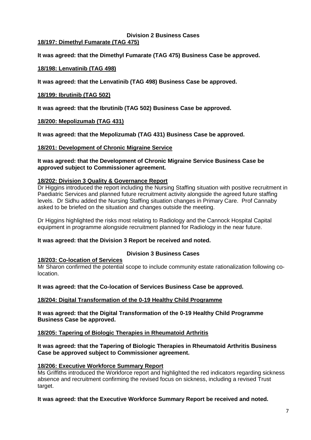#### **Division 2 Business Cases 18/197: Dimethyl Fumarate (TAG 475)**

**It was agreed: that the Dimethyl Fumarate (TAG 475) Business Case be approved.**

# **18/198: Lenvatinib (TAG 498)**

**It was agreed: that the Lenvatinib (TAG 498) Business Case be approved.**

#### **18/199: Ibrutinib (TAG 502)**

**It was agreed: that the Ibrutinib (TAG 502) Business Case be approved.**

#### **18/200: Mepolizumab (TAG 431)**

**It was agreed: that the Mepolizumab (TAG 431) Business Case be approved.**

#### **18/201: Development of Chronic Migraine Service**

#### **It was agreed: that the Development of Chronic Migraine Service Business Case be approved subject to Commissioner agreement.**

#### **18/202: Division 3 Quality & Governance Report**

Dr Higgins introduced the report including the Nursing Staffing situation with positive recruitment in Paediatric Services and planned future recruitment activity alongside the agreed future staffing levels. Dr Sidhu added the Nursing Staffing situation changes in Primary Care. Prof Cannaby asked to be briefed on the situation and changes outside the meeting.

Dr Higgins highlighted the risks most relating to Radiology and the Cannock Hospital Capital equipment in programme alongside recruitment planned for Radiology in the near future.

#### **It was agreed: that the Division 3 Report be received and noted.**

#### **Division 3 Business Cases**

#### **18/203: Co-location of Services**

Mr Sharon confirmed the potential scope to include community estate rationalization following colocation.

#### **It was agreed: that the Co-location of Services Business Case be approved.**

#### **18/204: Digital Transformation of the 0-19 Healthy Child Programme**

**It was agreed: that the Digital Transformation of the 0-19 Healthy Child Programme Business Case be approved.**

#### **18/205: Tapering of Biologic Therapies in Rheumatoid Arthritis**

#### **It was agreed: that the Tapering of Biologic Therapies in Rheumatoid Arthritis Business Case be approved subject to Commissioner agreement.**

#### **18/206: Executive Workforce Summary Report**

Ms Griffiths introduced the Workforce report and highlighted the red indicators regarding sickness absence and recruitment confirming the revised focus on sickness, including a revised Trust target.

**It was agreed: that the Executive Workforce Summary Report be received and noted.**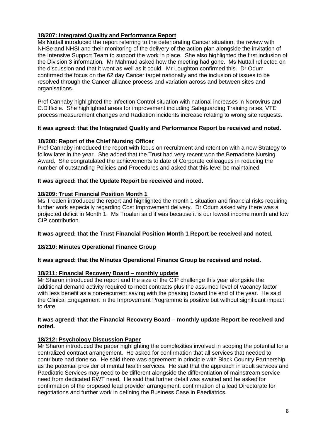# **18/207: Integrated Quality and Performance Report**

Ms Nuttall introduced the report referring to the deteriorating Cancer situation, the review with NHSe and NHSI and their monitoring of the delivery of the action plan alongside the invitation of the Intensive Support Team to support the work in place. She also highlighted the first inclusion of the Division 3 information. Mr Mahmud asked how the meeting had gone. Ms Nuttall reflected on the discussion and that it went as well as it could. Mr Loughton confirmed this. Dr Odum confirmed the focus on the 62 day Cancer target nationally and the inclusion of issues to be resolved through the Cancer alliance process and variation across and between sites and organisations.

Prof Cannaby highlighted the Infection Control situation with national increases in Norovirus and C.Difficile. She highlighted areas for improvement including Safeguarding Training rates, VTE process measurement changes and Radiation incidents increase relating to wrong site requests.

# **It was agreed: that the Integrated Quality and Performance Report be received and noted.**

# **18/208: Report of the Chief Nursing Officer**

Prof Cannaby introduced the report with focus on recruitment and retention with a new Strategy to follow later in the year. She added that the Trust had very recent won the Bernadette Nursing Award. She congratulated the achievements to date of Corporate colleagues in reducing the number of outstanding Policies and Procedures and asked that this level be maintained.

# **It was agreed: that the Update Report be received and noted.**

# **18/209: Trust Financial Position Month 1**

Ms Troalen introduced the report and highlighted the month 1 situation and financial risks requiring further work especially regarding Cost Improvement delivery. Dr Odum asked why there was a projected deficit in Month 1. Ms Troalen said it was because it is our lowest income month and low CIP contribution.

#### **It was agreed: that the Trust Financial Position Month 1 Report be received and noted.**

# **18/210: Minutes Operational Finance Group**

#### **It was agreed: that the Minutes Operational Finance Group be received and noted.**

# **18/211: Financial Recovery Board – monthly update**

Mr Sharon introduced the report and the size of the CIP challenge this year alongside the additional demand activity required to meet contracts plus the assumed level of vacancy factor with less benefit as a non-recurrent saving with the phasing toward the end of the year. He said the Clinical Engagement in the Improvement Programme is positive but without significant impact to date.

#### **It was agreed: that the Financial Recovery Board – monthly update Report be received and noted.**

# **18/212: Psychology Discussion Paper**

Mr Sharon introduced the paper highlighting the complexities involved in scoping the potential for a centralized contract arrangement. He asked for confirmation that all services that needed to contribute had done so. He said there was agreement in principle with Black Country Partnership as the potential provider of mental health services. He said that the approach in adult services and Paediatric Services may need to be different alongside the differentiation of mainstream service need from dedicated RWT need. He said that further detail was awaited and he asked for confirmation of the proposed lead provider arrangement, confirmation of a lead Directorate for negotiations and further work in defining the Business Case in Paediatrics.